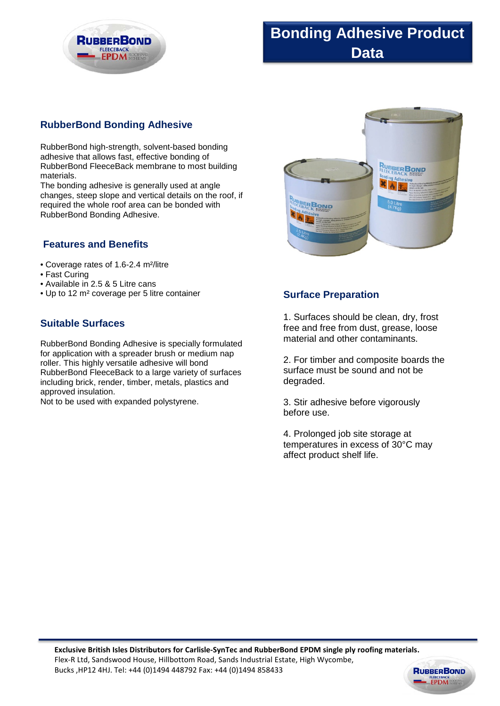

# **Bonding Adhesive Product Data**

## **RubberBond Bonding Adhesive**

RubberBond high-strength, solvent-based bonding adhesive that allows fast, effective bonding of RubberBond FleeceBack membrane to most building materials.

The bonding adhesive is generally used at angle changes, steep slope and vertical details on the roof, if required the whole roof area can be bonded with RubberBond Bonding Adhesive.

### **Features and Benefits**

- Coverage rates of 1.6-2.4 m²/litre
- Fast Curing
- Available in 2.5 & 5 Litre cans
- Up to 12 m² coverage per 5 litre container

## **Suitable Surfaces**

RubberBond Bonding Adhesive is specially formulated for application with a spreader brush or medium nap roller. This highly versatile adhesive will bond RubberBond FleeceBack to a large variety of surfaces including brick, render, timber, metals, plastics and approved insulation.

Not to be used with expanded polystyrene.



### **Surface Preparation**

1. Surfaces should be clean, dry, frost free and free from dust, grease, loose material and other contaminants.

2. For timber and composite boards the surface must be sound and not be degraded.

3. Stir adhesive before vigorously before use.

4. Prolonged job site storage at temperatures in excess of 30°C may affect product shelf life.